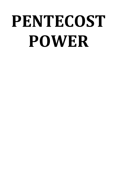## **PENTECOST POWER**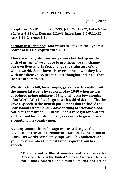## **PENTECOST POWER**

## **June 5, 2022**

**Scriptures (NKJV): John 7:37-39; John 20:19-22; Luke 4:14- 21; Acts 4:24-31; Romans 12:6-8; Ephesians 4:7-8,11-12; Acts 2:14-21; Acts 2:11**

**Sermon in a sentence: God wants to activate the dynamic power of His Holy Spirit within us.**

**There are many abilities and powers bottled up inside each of us, and if we choose to use them, we can change our own lives and, in fact, change the trajectory of the whole world. Some have discovered the power they have with just their voice, to articulate thoughts and ideas that inspire others to act.**

**Winston Churchill, for example, galvanized his nation with the immortal words he spoke in May 1940 when he was appointed prime minister of England, just a few months after World War II had begun. On his third day in office, he gave a speech in the British parliament that included the now-famous statement:** *"I have nothing to offer but blood, toil, tears and sweat."* **Churchill had a rare gift for oratory, and he used his words on many occasions to give hope and strength to his countrymen.**

**A young senator from Chicago was asked to give the keynote address at the Democratic National Convention in 2004. His words completely captivated his audience, and you may remember the most famous quote from his speech:** 

> **"There is not a liberal America and a conservative America - there is the United States of America. There is not a Black America and a White America and Latino**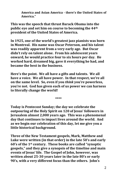**America and Asian America - there's the United States of America."**

**This was the speech that thrust Barack Obama into the public eye and set him on course to becoming the 44th president of the United States of America.**

**In 1925, one of the world's greatest jazz pianists was born in Montreal. His name was Oscar Peterson, and his talent was readily apparent from a very early age. But Oscar didn't rely on talent alone. From his adolescent years onward, he would practice four to six hours per day. He worked hard, dreamed big, gave it everything he had, and became the best in the business.** 

**Here's the point. We all have a gifts and talents. We all have a voice. We all have power. In that respect, we're all on the same level. So, even if you** *think* **you're powerless, you're not. God has given each of us power we can harness to literally change the world!**

**\*\*\*\***

**Today is Pentecost Sunday; the day we celebrate the outpouring of the Holy Spirit on 120 of Jesus' followers in Jerusalem almost 2,000 years ago. This was a phenomenal day that continues to impact lives around the world. And as we begin our celebration of this day, let me give you a little historical background.**

**Three of the New Testament gospels, Mark, Matthew and Luke were written (in that order) in the late 50's and early 60's of the 1st century. These books are called "synoptic gospels," and they give a synopsis of the timeline and main events of Jesus' life. The Gospel of John, however, was written about 25-30 years later in the late 80's or early 90's, with a very different focus than the others. John's**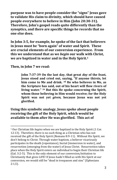**purpose was to have people consider the "signs" Jesus gave to validate His claim to divinity, which should have caused people everywhere to believe in Him (John 20:30-31). Therefore, John's gospel reads quite differently than the synoptics, and there are specific things he records that no one else does.** 

**In John 3:5, for example, he spoke of the fact that believers in Jesus must be "born again" of water and Spirit. These are crucial elements of our conversion experience. From this we understand that as we** *begin* **our walk with Christ, we are baptized in water and in the Holy Spirit. 1**

**Then, in John 7 we read:**

**John 7:37-39 On the last day, that great** *day* **of the feast, Jesus stood and cried out, saying, "If anyone thirsts, let him come to Me and drink. <sup>38</sup> He who believes in Me, as the Scripture has said, out of his heart will flow rivers of living water." <sup>39</sup> But this He spoke concerning the Spirit, whom those believing in Him would receive; for the Holy Spirit was not yet** *given,* **because Jesus was not yet glorified.**

**Using this symbolic analogy, Jesus spoke about people receiving the gift of the Holy Spirit, which would be available to them after He was glorified. This act of**

<sup>1</sup> Our Christian life *begins* when we are baptized in the Holy Spirit (1 Cor. 12:13). Therefore, there is no such thing as a Christian who has not received the gift of the Holy Spirit (Romans 8:9-11). Without His Spirit, we don't belong to Christ. Through water baptism, a believer vicariously participates in the death (repentance), burial (immersion in water), and resurrection (emerging from the water) of Jesus Christ. Resurrection takes place when the Holy Spirit enters an individual to begin their Christian life (Gal. 3:2-5). This is the only element of our conversion/initiation to Christianity that gives LIFE! If Jesus hadn't filled us with His Spirit at our conversion, we would still be "dead in trespasses and sins" (Ephesians  $2:1,5$ ).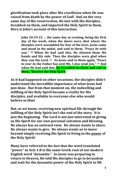**glorification took place after His crucifixion when He was raised from death by the power of God! And on the very same day of His resurrection, He met with His disciples, breathed on them, and imparted the Holy Spirit to them. Here is John's account of this interaction:**

> **John 20:19-22 … the same day at evening, being the first** *day* **of the week, when the doors were shut where the disciples were assembled for fear of the Jews, Jesus came and stood in the midst, and said to them, "Peace** *be* **with you." <sup>20</sup> When He had said this, He showed them** *His* **hands and His side. Then the disciples were glad when they saw the Lord. <sup>21</sup> So Jesus said to them again, "Peace to you! As the Father has sent Me, I also send you." <sup>22</sup> And when He had said this, He breathed on** *them,* **and said to them, "Receive the Holy Spirit.**

**As it had happened on other occasions, the disciples didn't understand the incredible importance of what Jesus had just done. But from that moment on, the indwelling and infilling of the Holy Spirit became a reality for His disciples, and available to everyone else who would believe in Him!**

**But, as we know, receiving new spiritual life through the infilling of the Holy Spirit isn't the end of the story. It is just the beginning. The Lord is not just interested in giving us His Spirit for our own personal salvation and blessing. He always has an outward view. He always wants to share. He always wants to give. He always wants us to move beyond simply receiving His Spirit to living in the** *power* **of the Holy Spirit!**

**Many have referred to the fact that the word translated "power" in Acts 1:8 is the same Greek root of our modern English word "dynamite." As Jesus was preparing to return to Heaven, He told His disciples to go to Jerusalem and wait for the dynamite power of the Holy Spirit to fill**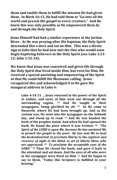**them and enable them to fulfill the mission He had given them. In Mark 16:15, He had told them to "Go into all the world and preach the gospel to every creature." And He knew this was only possible as He empowered them** *by* **and** *through* **the Holy Spirit.**

**Jesus Himself had had a similar experience at the Jordan River. As He was praying after His baptism, the Holy Spirit descended like a dove and sat on Him. This was a divine sign to John that he had now met the One who would soon begin baptizing believers in the Holy Spirit (see Luke 3:21- 22; John 1:32-34).**

**We know that Jesus was conceived and given life through the Holy Spirit that lived inside Him, but even for Him, He received a special anointing and empowering of the Spirit so that He could fulfill His Messianic calling. Jesus recognized this and acknowledged it as He gave His inaugural address in Luke 4:**

> **Luke 4:14-21 … Jesus returned in the power of the Spirit to Galilee, and news of Him went out through all the surrounding region. <sup>15</sup> And He taught in their synagogues, being glorified by all. <sup>16</sup> So He came to Nazareth, where He had been brought up. And as His custom was, He went into the synagogue on the Sabbath day, and stood up to read. <sup>17</sup> And He was handed the book of the prophet Isaiah. And when He had opened the book, He found the place where it was written: <sup>18</sup>** *"The Spirit of the LORD is upon Me, because He has anointed Me to preach the gospel to the poor; He has sent Me to heal the brokenhearted, to proclaim liberty to the captives and recovery of sight to the blind, to set at liberty those who are oppressed;* **<sup>19</sup>** *To proclaim the acceptable year of the LORD."* **<sup>20</sup> Then He closed the book, and gave** *it* **back to the attendant and sat down. And the eyes of all who were in the synagogue were fixed on Him. <sup>21</sup> And He began to say to them, "Today this Scripture is fulfilled in your hearing."**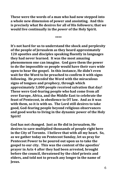**These were the words of a man who had now stepped into a whole new dimension of power and anointing. And this is precisely what He desires for all of His followers; that we would live continually in the** *power* **of the Holy Spirit.**

**\*\*\*\***

**It's not hard for us to understand the shock and perplexity of the people of Jerusalem as they heard approximately 120 apostles and disciples speaking fluently in languages they had never learned. It was the most amazing phenomenon one can imagine. God gave them the power to do the impossible so people would have their ears wide open to hear the gospel. In this instance, He didn't even wait for the Word to be preached to confirm it with signs following. He** *preceded* **the Word with the miraculous signs of tongues and prophecy, through which approximately 3,000 people received salvation that day! These were God-fearing people who had come from all over Europe, Africa, and the Middle East to celebrate the feast of Pentecost, in obedience to OT law. And as it was with them, so it is with us. The Lord still desires to take good, God-fearing people beyond religious observances and good works to living in the dynamic power of the Holy Spirit!**

**God has not changed. Just as He did in Jerusalem, He desires to save multiplied thousands of people right here in the City of Toronto. I believe that with all my heart. So, as we gather today on Pentecost Sunday, let us pray for Pentecost Power to be poured out upon us to take the gospel to our city. This was the content of the apostles' prayer in Acts 4 after they had been arrested, brought before the council, threatened by the chief priests and elders, and told not to preach any longer in the name of Jesus.**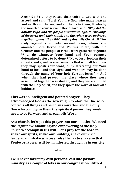**Acts 4:24-31 … they raised their voice to God with one accord and said: "Lord, You** *are* **God, who made heaven and earth and the sea, and all that is in them, <sup>25</sup> who by the mouth of Your servant David have said:** *"Why did the nations rage, and the people plot vain things?* **<sup>26</sup>** *The kings of the earth took their stand, and the rulers were gathered together against the LORD* **and against His Christ.' <sup>27</sup> "For truly against Your holy Servant Jesus, whom You anointed, both Herod and Pontius Pilate, with the Gentiles and the people of Israel, were gathered together <sup>28</sup> to do whatever Your hand and Your purpose determined before to be done. <sup>29</sup> Now, Lord, look on their threats, and grant to Your servants that with all boldness they may speak Your word, <sup>30</sup> by stretching out Your hand to heal, and that signs and wonders may be done through the name of Your holy Servant Jesus." <sup>31</sup> And when they had prayed, the place where they were assembled together was shaken; and they were all filled with the Holy Spirit, and they spoke the word of God with boldness.**

**This was an intelligent and pointed prayer. They acknowledged God as the sovereign Creator, the One who controls all things and performs miracles, and the only One who could give them the spiritual power they would need to go forward and preach His Word.**

**As a church, let's put this prayer into our mouths. We need the 'right now' anointing and empowering of the Holy Spirit to accomplish His will. Let's pray for the Lord to shake our sprits, shake our building, shake our civic leaders, and shake whatever else He has to shake so that Pentecost Power will be manifested through us in our city!**

**\*\*\*\***

**I will never forget my own personal call into pastoral ministry as a couple of folks in our congregation utilized**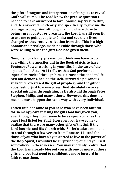**the gifts of tongues and interpretation of tongues to reveal God's will to me. The Lord knew the precise question I needed to have answered before I would say "yes" to Him, and He answered me clearly and specifically to give me the courage to obey. And although I am nowhere close to being a great pastor or preacher, the Lord has still seen fit to use me to point people to Christ and see their lives changed as they receive salvation from sin. This is a high honour and privilege, made possible through those who were willing to use the gifts God had given them.** 

**Now, just for clarity, please don't think you have to do everything the apostles did in the Book of Acts to have Pentecost Power working in your life. In the case of the apostle Paul, Acts 19:11 tells us that God performed "special miracles" through him. He raised the dead to life, cast out demons, healed the sick, survived a poisonous snakebite, exercised the gift of prophesy and the gift of apostleship, just to name a few. God absolutely worked special miracles through him, as He also did through Peter, Stephen, Philip, and many others. However, this doesn't mean it must happen the same way with every individual.** 

**I often think of some of you here who have been faithful for so many years in using the gifts God has given you, even though they don't seem to be as spectacular as the ones I just listed for Paul. However, you have come to realize that there are many other gifts of the Spirit the Lord has blessed His church with. So, let's take a moment to read through a few verses from Romans 12. And for those of you who haven't yet started to live in the power of the Holy Spirit, I wouldn't be surprised if you find yourself somewhere in these verses. You may suddenly realize that the Lord has already blessed you with one or more of these gifts and you just need to confidently move forward in faith to use them.**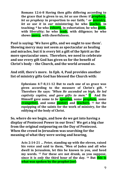**Romans 12:6-8 Having then gifts differing according to the grace that is given to us,** *let us use them:* **if prophecy,** *let us prophesy* **in proportion to our faith; <sup>7</sup> or ministry,**  *let us use it* **in** *our* **ministering; he who teaches, in teaching; <sup>8</sup> he who exhorts, in exhortation; he who gives,**  with liberality; he who **leads**, with diligence; he who **shows mercy, with cheerfulness.**

**Paul is saying: 'We have gifts, and we ought to use them'. Showing mercy may not seem as spectacular as healing and miracles, but it is every bit a gift of the Spirit as the more spectacular ones. Therefore, we need to celebrate and use every gift God has given us for the benefit of Christ's body – the Church, and the world around us.** 

**And still, there's more. In Eph. 4, Paul provides another list of ministry gifts God has blessed the Church with:**

> **Ephesians 4:7-8,11-12 But to each one of us grace was given according to the measure of Christ's gift. <sup>8</sup> Therefore He says:** *"When He ascended on high, He led captivity captive, and gave gifts to men."* **<sup>11</sup> And He Himself gave some** *to be* **apostles, some prophets, some evangelists, and some pastors and teachers, <sup>12</sup> for the equipping of the saints for the work of ministry, for the edifying of the body of Christ.**

**So, where do we begin, and how do we get into having a display of Pentecost Power in our lives? We get a big clue from the original outpouring on the Day of Pentecost. When the crowd in Jerusalem was searching for the meaning of what they were seeing and hearing,**

> **Acts 2:14-21 … Peter, standing up with the eleven, raised his voice and said to them, "Men of Judea and all who dwell in Jerusalem, let this be known to you, and heed my words. <sup>15</sup> For these are not drunk, as you suppose, since it is** *only* **the third hour of the day. <sup>16</sup> But this is what was spoken by the prophet Joel:**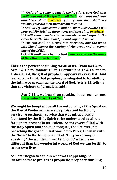**<sup>17</sup>** *"And it shall come to pass in the last days, says God, that I will pour out of My Spirit on all flesh; your sons and your daughters shall prophesy, your young men shall see visions, your old men shall dream dreams.*

**<sup>18</sup>** *And on My menservants and on My maidservants I will pour out My Spirit in those days; and they shall prophesy.*

**<sup>19</sup>** *I will show wonders in heaven above and signs in the earth beneath: blood and fire and vapor of smoke.*

**<sup>20</sup>** *The sun shall be turned into darkness, and the moon into blood, before the coming of the great and awesome day of the LORD***.**

**<sup>21</sup>** *And it shall come to pass that whoever calls on the name of the LORD* **s***hall be saved.'*

**This is the perfect beginning for all of us. From Joel 2, to Acts 2 & 19, to Romans 12, to 1 Corinthians 12 & 14, and to Ephesians 4, the gift of prophecy appears in every list. And lest anyone think that prophesy is relegated to foretelling the future or preaching the word of God, Acts 2:11 tells us that the visitors to Jerusalem said:**

> **Acts 2:11 … we hear them speaking in our own tongues the wonderful works of God."**

**We might be tempted to call the outpouring of the Spirit on the Day of Pentecost a massive praise and testimony service. A testimony service that was miraculously facilitated by the Holy Spirit to be understood by all the foreigners present in Jerusalem. As they were filled with the Holy Spirit and spoke in tongues, the 120 weren't preaching the gospel. That was left to Peter, the man with the "keys" to the Kingdom of God. They were simply speaking "the wonderful works of God," which is no different than the wonderful works of God we can testify to in our own lives.**

**As Peter began to explain what was happening, he identified these praises as prophetic, prophecy fulfilling**